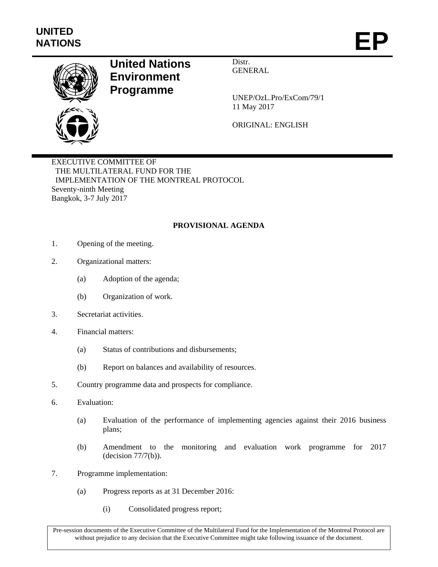

## **United Nations Environment Programme**

Distr. GENERAL

UNEP/OzL.Pro/ExCom/79/1 11 May 2017

ORIGINAL: ENGLISH

EXECUTIVE COMMITTEE OF THE MULTILATERAL FUND FOR THE IMPLEMENTATION OF THE MONTREAL PROTOCOL Seventy-ninth Meeting Bangkok, 3-7 July 2017

## **PROVISIONAL AGENDA**

- 1. Opening of the meeting.
- 2. Organizational matters:
	- (a) Adoption of the agenda;
	- (b) Organization of work.
- 3. Secretariat activities.
- 4. Financial matters:
	- (a) Status of contributions and disbursements;
	- (b) Report on balances and availability of resources.
- 5. Country programme data and prospects for compliance.
- 6. Evaluation:
	- (a) Evaluation of the performance of implementing agencies against their 2016 business plans;
	- (b) Amendment to the monitoring and evaluation work programme for 2017 (decision 77/7(b)).
- 7. Programme implementation:
	- (a) Progress reports as at 31 December 2016:
		- (i) Consolidated progress report;

Pre-session documents of the Executive Committee of the Multilateral Fund for the Implementation of the Montreal Protocol are without prejudice to any decision that the Executive Committee might take following issuance of the document.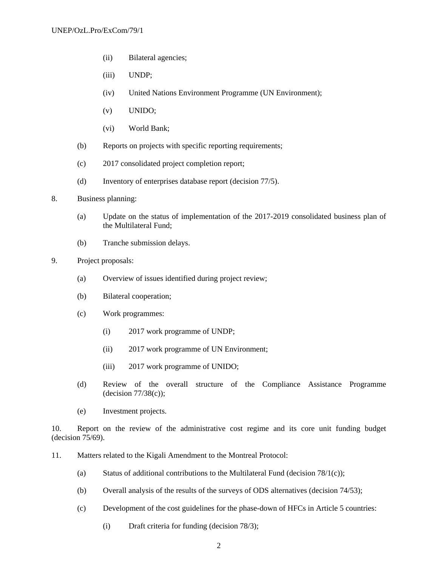- (ii) Bilateral agencies;
- (iii) UNDP;
- (iv) United Nations Environment Programme (UN Environment);
- (v) UNIDO;
- (vi) World Bank;
- (b) Reports on projects with specific reporting requirements;
- (c) 2017 consolidated project completion report;
- (d) Inventory of enterprises database report (decision 77/5).
- 8. Business planning:
	- (a) Update on the status of implementation of the 2017-2019 consolidated business plan of the Multilateral Fund;
	- (b) Tranche submission delays.
- 9. Project proposals:
	- (a) Overview of issues identified during project review;
	- (b) Bilateral cooperation;
	- (c) Work programmes:
		- (i) 2017 work programme of UNDP;
		- (ii) 2017 work programme of UN Environment;
		- (iii) 2017 work programme of UNIDO;
	- (d) Review of the overall structure of the Compliance Assistance Programme  $(decision 77/38(c))$ ;
	- (e) Investment projects.

10. Report on the review of the administrative cost regime and its core unit funding budget (decision 75/69).

- 11. Matters related to the Kigali Amendment to the Montreal Protocol:
	- (a) Status of additional contributions to the Multilateral Fund (decision  $78/1(c)$ );
	- (b) Overall analysis of the results of the surveys of ODS alternatives (decision 74/53);
	- (c) Development of the cost guidelines for the phase-down of HFCs in Article 5 countries:
		- (i) Draft criteria for funding (decision 78/3);